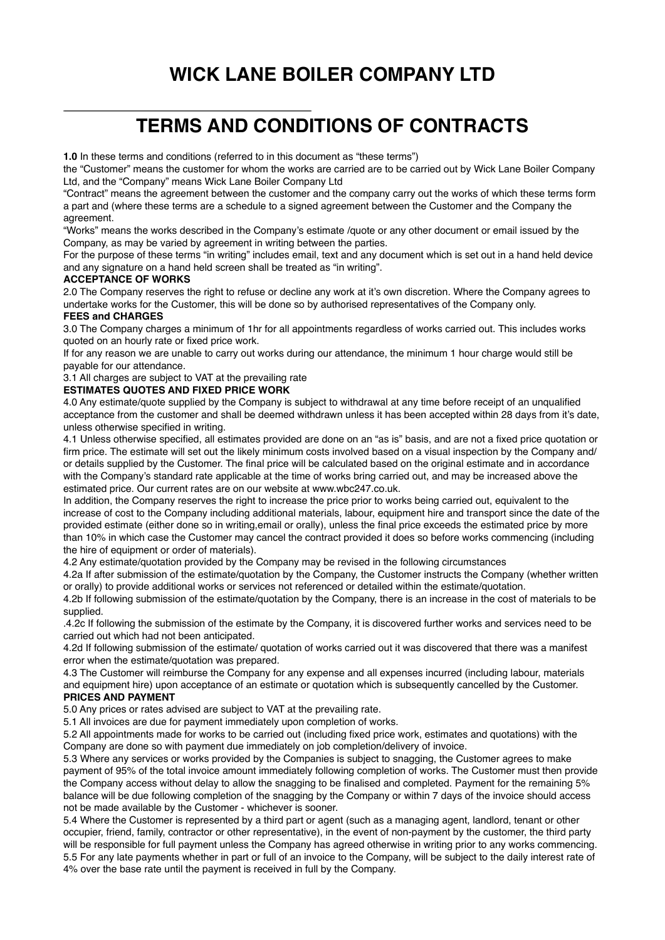# **WICK LANE BOILER COMPANY LTD**

# **TERMS AND CONDITIONS OF CONTRACTS**

**1.0** In these terms and conditions (referred to in this document as "these terms")

the "Customer" means the customer for whom the works are carried are to be carried out by Wick Lane Boiler Company Ltd, and the "Company" means Wick Lane Boiler Company Ltd

"Contract" means the agreement between the customer and the company carry out the works of which these terms form a part and (where these terms are a schedule to a signed agreement between the Customer and the Company the agreement.

"Works" means the works described in the Company's estimate /quote or any other document or email issued by the Company, as may be varied by agreement in writing between the parties.

For the purpose of these terms "in writing" includes email, text and any document which is set out in a hand held device and any signature on a hand held screen shall be treated as "in writing".

#### **ACCEPTANCE OF WORKS**

2.0 The Company reserves the right to refuse or decline any work at it's own discretion. Where the Company agrees to undertake works for the Customer, this will be done so by authorised representatives of the Company only.

## **FEES and CHARGES**

3.0 The Company charges a minimum of 1hr for all appointments regardless of works carried out. This includes works quoted on an hourly rate or fixed price work.

If for any reason we are unable to carry out works during our attendance, the minimum 1 hour charge would still be payable for our attendance.

## 3.1 All charges are subject to VAT at the prevailing rate

## **ESTIMATES QUOTES AND FIXED PRICE WORK**

4.0 Any estimate/quote supplied by the Company is subject to withdrawal at any time before receipt of an unqualified acceptance from the customer and shall be deemed withdrawn unless it has been accepted within 28 days from it's date, unless otherwise specified in writing.

4.1 Unless otherwise specified, all estimates provided are done on an "as is" basis, and are not a fixed price quotation or firm price. The estimate will set out the likely minimum costs involved based on a visual inspection by the Company and/ or details supplied by the Customer. The final price will be calculated based on the original estimate and in accordance with the Company's standard rate applicable at the time of works bring carried out, and may be increased above the estimated price. Our current rates are on our website at www.wbc247.co.uk.

In addition, the Company reserves the right to increase the price prior to works being carried out, equivalent to the increase of cost to the Company including additional materials, labour, equipment hire and transport since the date of the provided estimate (either done so in writing,email or orally), unless the final price exceeds the estimated price by more than 10% in which case the Customer may cancel the contract provided it does so before works commencing (including the hire of equipment or order of materials).

4.2 Any estimate/quotation provided by the Company may be revised in the following circumstances

4.2a If after submission of the estimate/quotation by the Company, the Customer instructs the Company (whether written or orally) to provide additional works or services not referenced or detailed within the estimate/quotation.

4.2b If following submission of the estimate/quotation by the Company, there is an increase in the cost of materials to be supplied.

.4.2c If following the submission of the estimate by the Company, it is discovered further works and services need to be carried out which had not been anticipated.

4.2d If following submission of the estimate/ quotation of works carried out it was discovered that there was a manifest error when the estimate/quotation was prepared.

4.3 The Customer will reimburse the Company for any expense and all expenses incurred (including labour, materials and equipment hire) upon acceptance of an estimate or quotation which is subsequently cancelled by the Customer. **PRICES AND PAYMENT**

5.0 Any prices or rates advised are subject to VAT at the prevailing rate.

5.1 All invoices are due for payment immediately upon completion of works.

5.2 All appointments made for works to be carried out (including fixed price work, estimates and quotations) with the Company are done so with payment due immediately on job completion/delivery of invoice.

5.3 Where any services or works provided by the Companies is subject to snagging, the Customer agrees to make payment of 95% of the total invoice amount immediately following completion of works. The Customer must then provide the Company access without delay to allow the snagging to be finalised and completed. Payment for the remaining 5% balance will be due following completion of the snagging by the Company or within 7 days of the invoice should access not be made available by the Customer - whichever is sooner.

5.4 Where the Customer is represented by a third part or agent (such as a managing agent, landlord, tenant or other occupier, friend, family, contractor or other representative), in the event of non-payment by the customer, the third party will be responsible for full payment unless the Company has agreed otherwise in writing prior to any works commencing. 5.5 For any late payments whether in part or full of an invoice to the Company, will be subject to the daily interest rate of 4% over the base rate until the payment is received in full by the Company.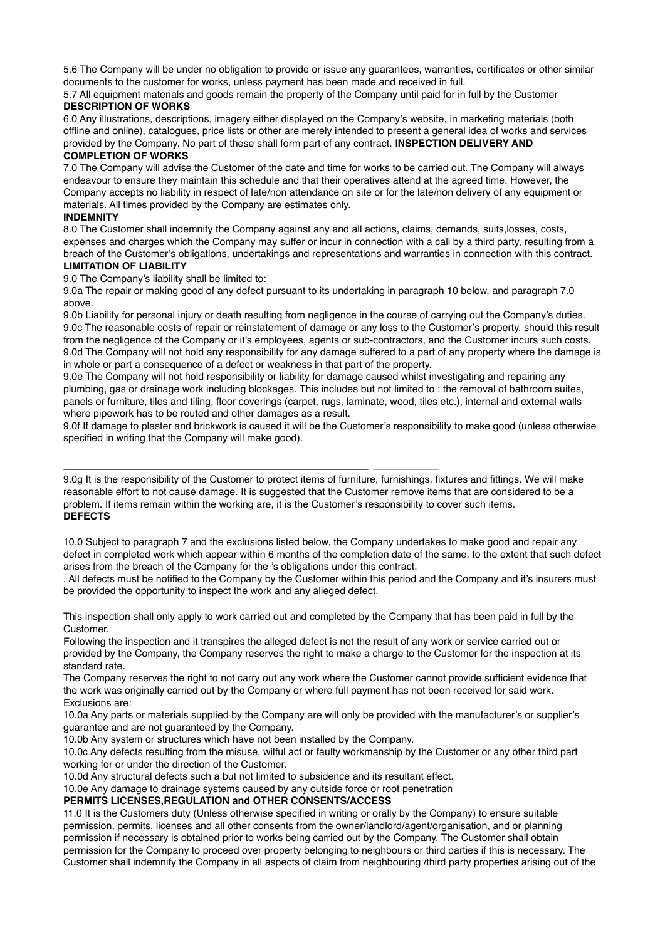5.6 The Company will be under no obligation to provide or issue any guarantees, warranties, certificates or other similar documents to the customer for works, unless payment has been made and received in full.

5.7 All equipment materials and goods remain the property of the Company until paid for in full by the Customer **DESCRIPTION OF WORKS**

6.0 Any illustrations, descriptions, imagery either displayed on the Company's website, in marketing materials (both offline and online), catalogues, price lists or other are merely intended to present a general idea of works and services provided by the Company. No part of these shall form part of any contract. I**NSPECTION DELIVERY AND COMPLETION OF WORKS**

7.0 The Company will advise the Customer of the date and time for works to be carried out. The Company will always endeavour to ensure they maintain this schedule and that their operatives attend at the agreed time. However, the Company accepts no liability in respect of late/non attendance on site or for the late/non delivery of any equipment or materials. All times provided by the Company are estimates only.

## **INDEMNITY**

8.0 The Customer shall indemnify the Company against any and all actions, claims, demands, suits,losses, costs, expenses and charges which the Company may suffer or incur in connection with a cali by a third party, resulting from a breach of the Customer's obligations, undertakings and representations and warranties in connection with this contract. **LIMITATION OF LIABILITY**

9.0 The Company's liability shall be limited to:

9.0a The repair or making good of any defect pursuant to its undertaking in paragraph 10 below, and paragraph 7.0 above.

9.0b Liability for personal injury or death resulting from negligence in the course of carrying out the Company's duties. 9.0c The reasonable costs of repair or reinstatement of damage or any loss to the Customer's property, should this result from the negligence of the Company or it's employees, agents or sub-contractors, and the Customer incurs such costs. 9.0d The Company will not hold any responsibility for any damage suffered to a part of any property where the damage is in whole or part a consequence of a defect or weakness in that part of the property.

9.0e The Company will not hold responsibility or liability for damage caused whilst investigating and repairing any plumbing, gas or drainage work including blockages. This includes but not limited to : the removal of bathroom suites, panels or furniture, tiles and tiling, floor coverings (carpet, rugs, laminate, wood, tiles etc.), internal and external walls where pipework has to be routed and other damages as a result.

9.0f If damage to plaster and brickwork is caused it will be the Customer's responsibility to make good (unless otherwise specified in writing that the Company will make good).

9.0g It is the responsibility of the Customer to protect items of furniture, furnishings, fixtures and fittings. We will make reasonable effort to not cause damage. It is suggested that the Customer remove items that are considered to be a problem. If items remain within the working are, it is the Customer's responsibility to cover such items. **DEFECTS** 

10.0 Subject to paragraph 7 and the exclusions listed below, the Company undertakes to make good and repair any defect in completed work which appear within 6 months of the completion date of the same, to the extent that such defect arises from the breach of the Company for the 's obligations under this contract.

. All defects must be notified to the Company by the Customer within this period and the Company and it's insurers must be provided the opportunity to inspect the work and any alleged defect.

This inspection shall only apply to work carried out and completed by the Company that has been paid in full by the Customer.

Following the inspection and it transpires the alleged defect is not the result of any work or service carried out or provided by the Company, the Company reserves the right to make a charge to the Customer for the inspection at its standard rate.

The Company reserves the right to not carry out any work where the Customer cannot provide sufficient evidence that the work was originally carried out by the Company or where full payment has not been received for said work. Exclusions are:

10.0a Any parts or materials supplied by the Company are will only be provided with the manufacturer's or supplier's guarantee and are not guaranteed by the Company.

10.0b Any system or structures which have not been installed by the Company.

10.0c Any defects resulting from the misuse, wilful act or faulty workmanship by the Customer or any other third part working for or under the direction of the Customer.

10.0d Any structural defects such a but not limited to subsidence and its resultant effect.

10.0e Any damage to drainage systems caused by any outside force or root penetration

#### **PERMITS LICENSES,REGULATION and OTHER CONSENTS/ACCESS**

11.0 It is the Customers duty (Unless otherwise specified in writing or orally by the Company) to ensure suitable permission, permits, licenses and all other consents from the owner/landlord/agent/organisation, and or planning permission if necessary is obtained prior to works being carried out by the Company. The Customer shall obtain permission for the Company to proceed over property belonging to neighbours or third parties if this is necessary. The Customer shall indemnify the Company in all aspects of claim from neighbouring /third party properties arising out of the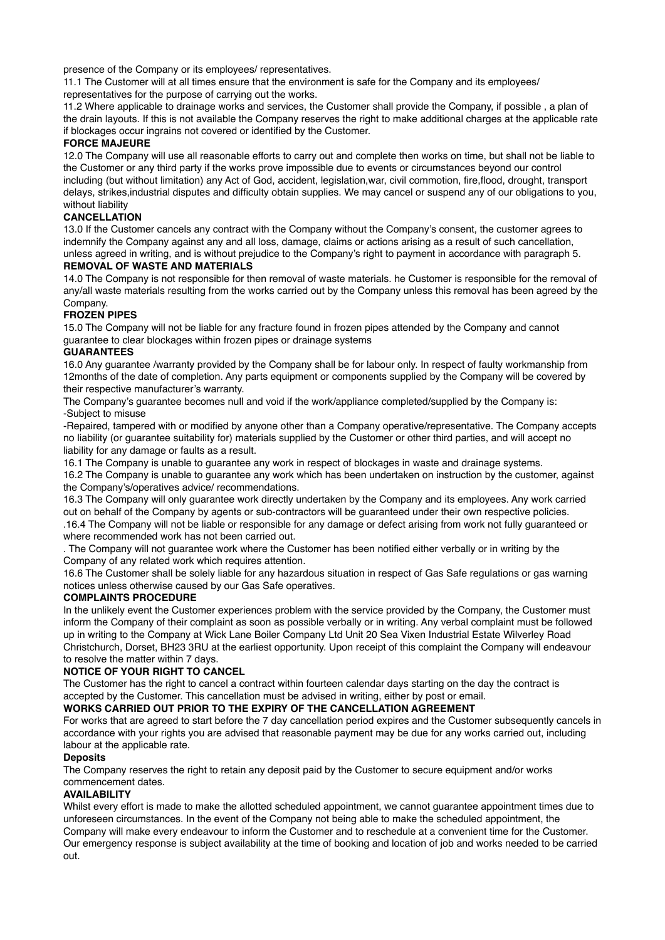presence of the Company or its employees/ representatives.

11.1 The Customer will at all times ensure that the environment is safe for the Company and its employees/ representatives for the purpose of carrying out the works.

11.2 Where applicable to drainage works and services, the Customer shall provide the Company, if possible , a plan of the drain layouts. If this is not available the Company reserves the right to make additional charges at the applicable rate if blockages occur ingrains not covered or identified by the Customer.

#### **FORCE MAJEURE**

12.0 The Company will use all reasonable efforts to carry out and complete then works on time, but shall not be liable to the Customer or any third party if the works prove impossible due to events or circumstances beyond our control including (but without limitation) any Act of God, accident, legislation,war, civil commotion, fire,flood, drought, transport delays, strikes,industrial disputes and difficulty obtain supplies. We may cancel or suspend any of our obligations to you, without liability

#### **CANCELLATION**

13.0 If the Customer cancels any contract with the Company without the Company's consent, the customer agrees to indemnify the Company against any and all loss, damage, claims or actions arising as a result of such cancellation, unless agreed in writing, and is without prejudice to the Company's right to payment in accordance with paragraph 5.

#### **REMOVAL OF WASTE AND MATERIALS**

14.0 The Company is not responsible for then removal of waste materials. he Customer is responsible for the removal of any/all waste materials resulting from the works carried out by the Company unless this removal has been agreed by the Company.

#### **FROZEN PIPES**

15.0 The Company will not be liable for any fracture found in frozen pipes attended by the Company and cannot guarantee to clear blockages within frozen pipes or drainage systems

#### **GUARANTEES**

16.0 Any guarantee /warranty provided by the Company shall be for labour only. In respect of faulty workmanship from 12months of the date of completion. Any parts equipment or components supplied by the Company will be covered by their respective manufacturer's warranty.

The Company's guarantee becomes null and void if the work/appliance completed/supplied by the Company is: -Subject to misuse

-Repaired, tampered with or modified by anyone other than a Company operative/representative. The Company accepts no liability (or guarantee suitability for) materials supplied by the Customer or other third parties, and will accept no liability for any damage or faults as a result.

16.1 The Company is unable to guarantee any work in respect of blockages in waste and drainage systems.

16.2 The Company is unable to guarantee any work which has been undertaken on instruction by the customer, against the Company's/operatives advice/ recommendations.

16.3 The Company will only guarantee work directly undertaken by the Company and its employees. Any work carried out on behalf of the Company by agents or sub-contractors will be guaranteed under their own respective policies. .16.4 The Company will not be liable or responsible for any damage or defect arising from work not fully guaranteed or where recommended work has not been carried out.

. The Company will not guarantee work where the Customer has been notified either verbally or in writing by the Company of any related work which requires attention.

16.6 The Customer shall be solely liable for any hazardous situation in respect of Gas Safe regulations or gas warning notices unless otherwise caused by our Gas Safe operatives.

#### **COMPLAINTS PROCEDURE**

In the unlikely event the Customer experiences problem with the service provided by the Company, the Customer must inform the Company of their complaint as soon as possible verbally or in writing. Any verbal complaint must be followed up in writing to the Company at Wick Lane Boiler Company Ltd Unit 20 Sea Vixen Industrial Estate Wilverley Road Christchurch, Dorset, BH23 3RU at the earliest opportunity. Upon receipt of this complaint the Company will endeavour to resolve the matter within 7 days.

#### **NOTICE OF YOUR RIGHT TO CANCEL**

The Customer has the right to cancel a contract within fourteen calendar days starting on the day the contract is accepted by the Customer. This cancellation must be advised in writing, either by post or email.

#### **WORKS CARRIED OUT PRIOR TO THE EXPIRY OF THE CANCELLATION AGREEMENT**

For works that are agreed to start before the 7 day cancellation period expires and the Customer subsequently cancels in accordance with your rights you are advised that reasonable payment may be due for any works carried out, including labour at the applicable rate.

#### **Deposits**

The Company reserves the right to retain any deposit paid by the Customer to secure equipment and/or works commencement dates.

## **AVAILABILITY**

Whilst every effort is made to make the allotted scheduled appointment, we cannot guarantee appointment times due to unforeseen circumstances. In the event of the Company not being able to make the scheduled appointment, the Company will make every endeavour to inform the Customer and to reschedule at a convenient time for the Customer. Our emergency response is subject availability at the time of booking and location of job and works needed to be carried out.